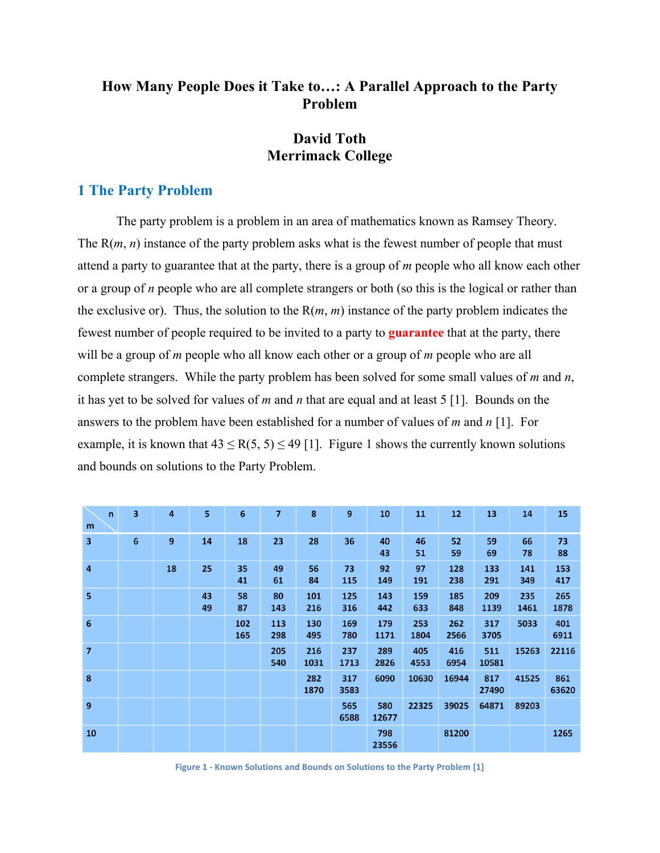## **How Many People Does it Take to…: A Parallel Approach to the Party Problem**

# **David Toth Merrimack College**

### **1 The Party Problem**

The party problem is a problem in an area of mathematics known as Ramsey Theory. The R(*m*, *n*) instance of the party problem asks what is the fewest number of people that must attend a party to guarantee that at the party, there is a group of *m* people who all know each other or a group of *n* people who are all complete strangers or both (so this is the logical or rather than the exclusive or). Thus, the solution to the  $R(m, m)$  instance of the party problem indicates the fewest number of people required to be invited to a party to **guarantee** that at the party, there will be a group of *m* people who all know each other or a group of *m* people who are all complete strangers. While the party problem has been solved for some small values of *m* and *n*, it has yet to be solved for values of *m* and *n* that are equal and at least 5 [1]. Bounds on the answers to the problem have been established for a number of values of *m* and *n* [1]. For example, it is known that  $43 \le R(5, 5) \le 49$  [1]. Figure 1 shows the currently known solutions and bounds on solutions to the Party Problem.

| $\mathsf{n}$<br>m | 3 | $\overline{4}$ | 5        | 6          | $\overline{7}$ | 8           | 9           | 10           | 11          | 12          | 13           | 14          | 15           |
|-------------------|---|----------------|----------|------------|----------------|-------------|-------------|--------------|-------------|-------------|--------------|-------------|--------------|
| 3                 | 6 | 9              | 14       | 18         | 23             | 28          | 36          | 40<br>43     | 46<br>51    | 52<br>59    | 59<br>69     | 66<br>78    | 73<br>88     |
| 4                 |   | 18             | 25       | 35<br>41   | 49<br>61       | 56<br>84    | 73<br>115   | 92<br>149    | 97<br>191   | 128<br>238  | 133<br>291   | 141<br>349  | 153<br>417   |
| 5                 |   |                | 43<br>49 | 58<br>87   | 80<br>143      | 101<br>216  | 125<br>316  | 143<br>442   | 159<br>633  | 185<br>848  | 209<br>1139  | 235<br>1461 | 265<br>1878  |
| 6                 |   |                |          | 102<br>165 | 113<br>298     | 130<br>495  | 169<br>780  | 179<br>1171  | 253<br>1804 | 262<br>2566 | 317<br>3705  | 5033        | 401<br>6911  |
| 7                 |   |                |          |            | 205<br>540     | 216<br>1031 | 237<br>1713 | 289<br>2826  | 405<br>4553 | 416<br>6954 | 511<br>10581 | 15263       | 22116        |
| 8                 |   |                |          |            |                | 282<br>1870 | 317<br>3583 | 6090         | 10630       | 16944       | 817<br>27490 | 41525       | 861<br>63620 |
| 9                 |   |                |          |            |                |             | 565<br>6588 | 580<br>12677 | 22325       | 39025       | 64871        | 89203       |              |
| 10                |   |                |          |            |                |             |             | 798<br>23556 |             | 81200       |              |             | 1265         |

**Figure 1 - Known Solutions and Bounds on Solutions to the Party Problem [1]**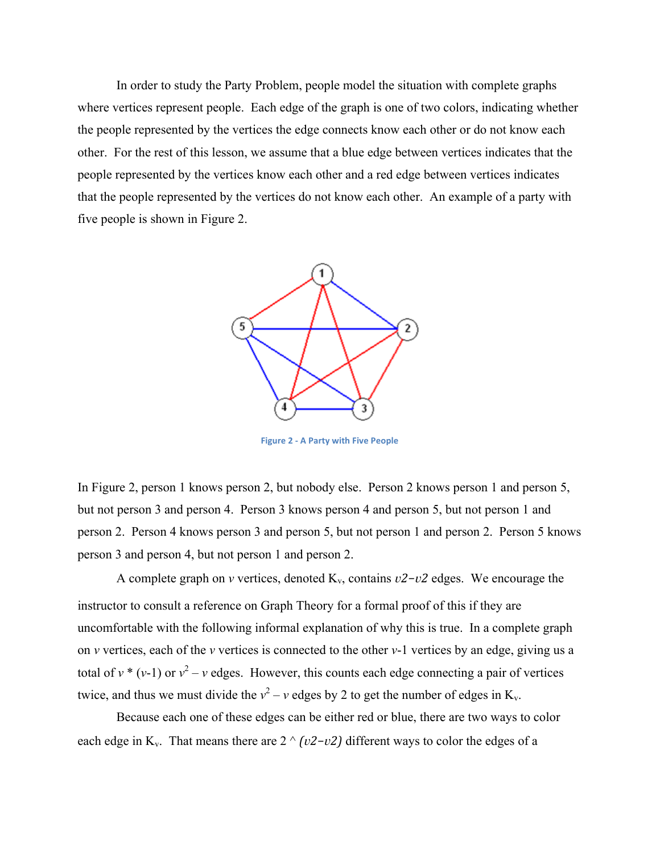In order to study the Party Problem, people model the situation with complete graphs where vertices represent people. Each edge of the graph is one of two colors, indicating whether the people represented by the vertices the edge connects know each other or do not know each other. For the rest of this lesson, we assume that a blue edge between vertices indicates that the people represented by the vertices know each other and a red edge between vertices indicates that the people represented by the vertices do not know each other. An example of a party with five people is shown in Figure 2.



**Figure 2 - A Party with Five People** 

In Figure 2, person 1 knows person 2, but nobody else. Person 2 knows person 1 and person 5, but not person 3 and person 4. Person 3 knows person 4 and person 5, but not person 1 and person 2. Person 4 knows person 3 and person 5, but not person 1 and person 2. Person 5 knows person 3 and person 4, but not person 1 and person 2.

A complete graph on *v* vertices, denoted K<sub>v</sub>, contains *v2−v2* edges. We encourage the instructor to consult a reference on Graph Theory for a formal proof of this if they are uncomfortable with the following informal explanation of why this is true. In a complete graph on *v* vertices, each of the *v* vertices is connected to the other *v*-1 vertices by an edge, giving us a total of  $v^*$  ( $v$ -1) or  $v^2$  –  $v$  edges. However, this counts each edge connecting a pair of vertices twice, and thus we must divide the  $v^2 - v$  edges by 2 to get the number of edges in  $K_v$ .

Because each one of these edges can be either red or blue, there are two ways to color each edge in K<sub>v</sub>. That means there are  $2 \wedge (v2-v2)$  different ways to color the edges of a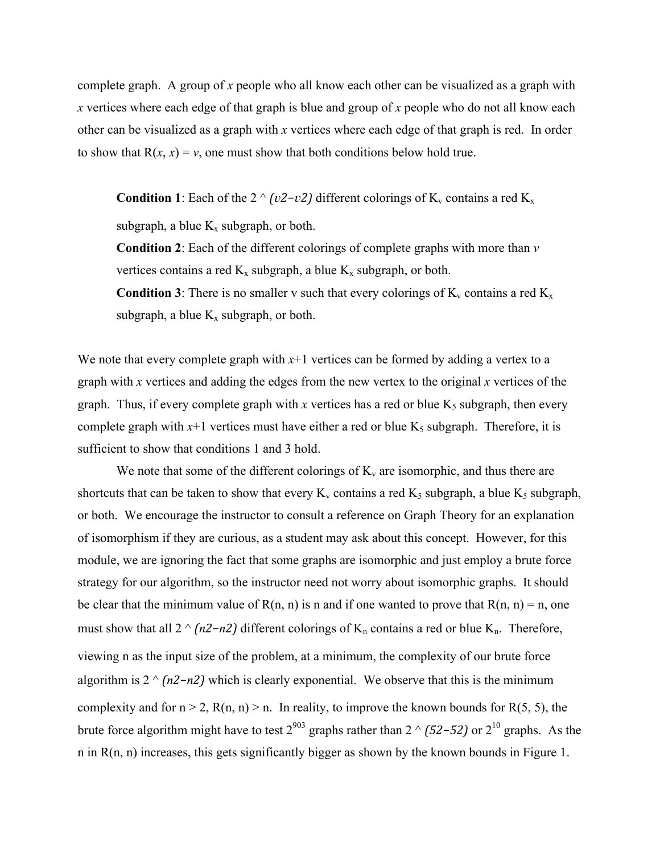complete graph. A group of *x* people who all know each other can be visualized as a graph with *x* vertices where each edge of that graph is blue and group of *x* people who do not all know each other can be visualized as a graph with *x* vertices where each edge of that graph is red. In order to show that  $R(x, x) = v$ , one must show that both conditions below hold true.

**Condition 1**: Each of the  $2 \text{ }^{\wedge}$  *(v2−v2)* different colorings of K<sub>v</sub> contains a red K<sub>x</sub>

subgraph, a blue  $K_x$  subgraph, or both.

**Condition 2**: Each of the different colorings of complete graphs with more than *v* vertices contains a red  $K_x$  subgraph, a blue  $K_x$  subgraph, or both.

**Condition 3**: There is no smaller v such that every colorings of  $K_v$  contains a red  $K_x$ subgraph, a blue  $K_x$  subgraph, or both.

We note that every complete graph with  $x+1$  vertices can be formed by adding a vertex to a graph with *x* vertices and adding the edges from the new vertex to the original *x* vertices of the graph. Thus, if every complete graph with *x* vertices has a red or blue  $K_5$  subgraph, then every complete graph with  $x+1$  vertices must have either a red or blue  $K_5$  subgraph. Therefore, it is sufficient to show that conditions 1 and 3 hold.

We note that some of the different colorings of  $K_v$  are isomorphic, and thus there are shortcuts that can be taken to show that every  $K_v$  contains a red  $K_5$  subgraph, a blue  $K_5$  subgraph, or both. We encourage the instructor to consult a reference on Graph Theory for an explanation of isomorphism if they are curious, as a student may ask about this concept. However, for this module, we are ignoring the fact that some graphs are isomorphic and just employ a brute force strategy for our algorithm, so the instructor need not worry about isomorphic graphs. It should be clear that the minimum value of  $R(n, n)$  is n and if one wanted to prove that  $R(n, n) = n$ , one must show that all 2  $\land$  *(n2−n2)* different colorings of K<sub>n</sub> contains a red or blue K<sub>n</sub>. Therefore, viewing n as the input size of the problem, at a minimum, the complexity of our brute force algorithm is 2 ^ *(2−2)* which is clearly exponential. We observe that this is the minimum complexity and for  $n > 2$ ,  $R(n, n) > n$ . In reality, to improve the known bounds for  $R(5, 5)$ , the brute force algorithm might have to test 2903 graphs rather than 2 ^ *(52−52)* or 210 graphs. As the n in R(n, n) increases, this gets significantly bigger as shown by the known bounds in Figure 1.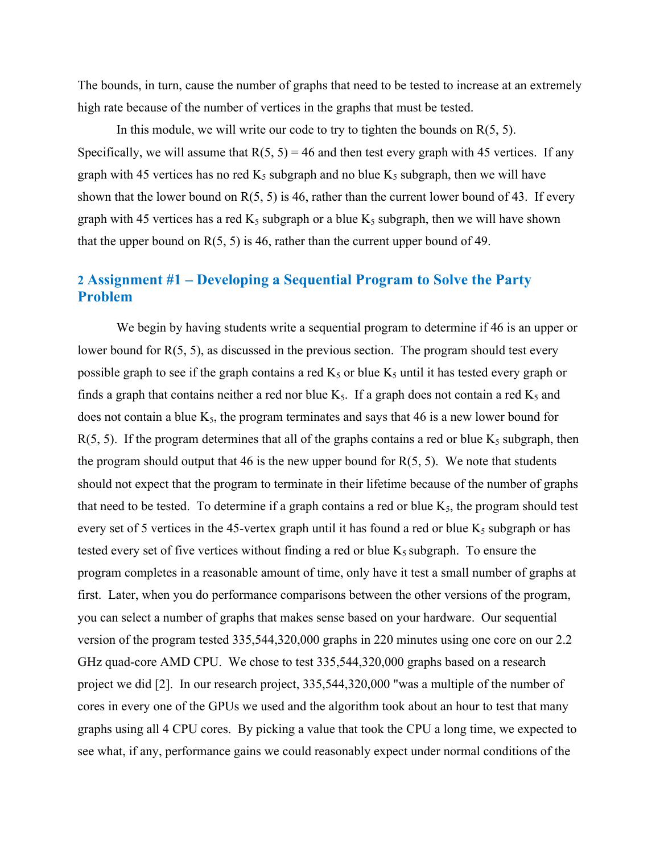The bounds, in turn, cause the number of graphs that need to be tested to increase at an extremely high rate because of the number of vertices in the graphs that must be tested.

In this module, we will write our code to try to tighten the bounds on  $R(5, 5)$ . Specifically, we will assume that  $R(5, 5) = 46$  and then test every graph with 45 vertices. If any graph with 45 vertices has no red  $K_5$  subgraph and no blue  $K_5$  subgraph, then we will have shown that the lower bound on  $R(5, 5)$  is 46, rather than the current lower bound of 43. If every graph with 45 vertices has a red  $K_5$  subgraph or a blue  $K_5$  subgraph, then we will have shown that the upper bound on  $R(5, 5)$  is 46, rather than the current upper bound of 49.

## **2 Assignment #1 – Developing a Sequential Program to Solve the Party Problem**

We begin by having students write a sequential program to determine if 46 is an upper or lower bound for R(5, 5), as discussed in the previous section. The program should test every possible graph to see if the graph contains a red  $K_5$  or blue  $K_5$  until it has tested every graph or finds a graph that contains neither a red nor blue  $K_5$ . If a graph does not contain a red  $K_5$  and does not contain a blue  $K_5$ , the program terminates and says that 46 is a new lower bound for  $R(5, 5)$ . If the program determines that all of the graphs contains a red or blue  $K_5$  subgraph, then the program should output that 46 is the new upper bound for  $R(5, 5)$ . We note that students should not expect that the program to terminate in their lifetime because of the number of graphs that need to be tested. To determine if a graph contains a red or blue  $K_5$ , the program should test every set of 5 vertices in the 45-vertex graph until it has found a red or blue  $K_5$  subgraph or has tested every set of five vertices without finding a red or blue  $K_5$  subgraph. To ensure the program completes in a reasonable amount of time, only have it test a small number of graphs at first. Later, when you do performance comparisons between the other versions of the program, you can select a number of graphs that makes sense based on your hardware. Our sequential version of the program tested 335,544,320,000 graphs in 220 minutes using one core on our 2.2 GHz quad-core AMD CPU. We chose to test 335,544,320,000 graphs based on a research project we did [2]. In our research project, 335,544,320,000 "was a multiple of the number of cores in every one of the GPUs we used and the algorithm took about an hour to test that many graphs using all 4 CPU cores. By picking a value that took the CPU a long time, we expected to see what, if any, performance gains we could reasonably expect under normal conditions of the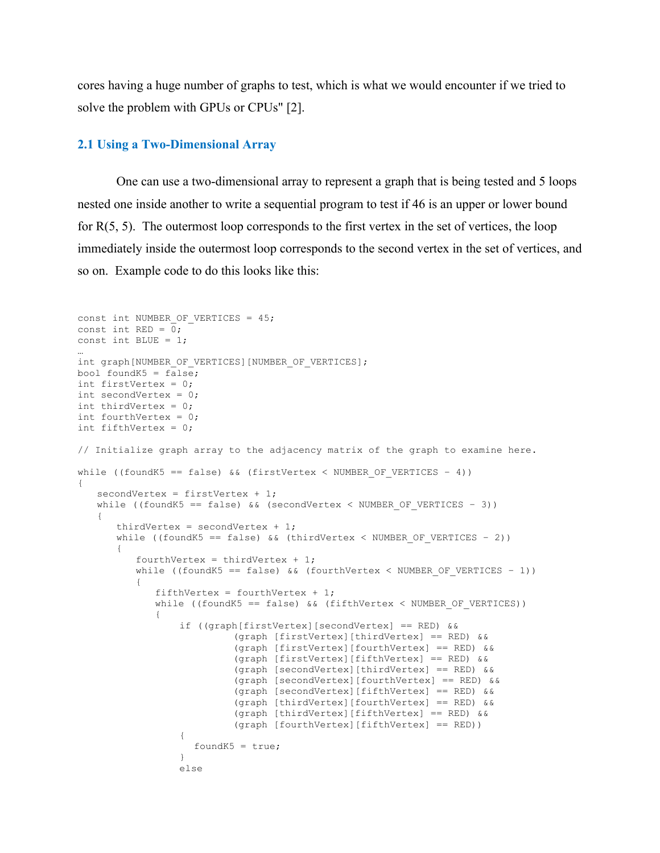cores having a huge number of graphs to test, which is what we would encounter if we tried to solve the problem with GPUs or CPUs" [2].

#### **2.1 Using a Two-Dimensional Array**

One can use a two-dimensional array to represent a graph that is being tested and 5 loops nested one inside another to write a sequential program to test if 46 is an upper or lower bound for R(5, 5). The outermost loop corresponds to the first vertex in the set of vertices, the loop immediately inside the outermost loop corresponds to the second vertex in the set of vertices, and so on. Example code to do this looks like this:

```
const int NUMBER OF VERTICES = 45;const int RED = 0;
const int BLUE = 1;
…
int graph[NUMBER OF VERTICES][NUMBER OF VERTICES];
bool foundK5 = false;int firstVertex = 0;
int secondVertex = 0;
int thirdVertex = 0;
int fourthVertex = 0;
int fifthVertex = 0;
// Initialize graph array to the adjacency matrix of the graph to examine here.
while ((foundK5 == false) && (firstVertex < NUMBER OF VERTICES - 4))
{
   secondVertex = firstVertex + 1;
   while ((foundK5 == false) && (secondVertex < NUMBER OF VERTICES - 3))
   {
       thirdVertex = secondVertex + 1;
      while ((foundK5 == false) &\& (thirdVertex < NUMBER OF VERTICES - 2))
       {
          fourthVertex = thirdVertex + 1;
          while ((foundK5 == false) && (fourthVertex < NUMBER OF VERTICES - 1))
          {
             fifthVertex = fourthVertex + 1;
             while ((foundK5 == false) && (fifthVertex < NUMBER OF VERTICES))
              {
                  if ((graph[firstVertex][secondVertex] == RED) && 
                           (graph [firstVertex][thirdVertex] == RED) && 
                           (graph [firstVertex][fourthVertex] == RED) && 
                           (graph [firstVertex][fifthVertex] == RED) && 
                           (graph [secondVertex][thirdVertex] == RED) && 
                           (graph [secondVertex][fourthVertex] == RED) && 
                           (graph [secondVertex][fifthVertex] == RED) && 
                           (graph [thirdVertex][fourthVertex] == RED) && 
                           (graph [thirdVertex][fifthVertex] == RED) && 
                           (graph [fourthVertex][fifthVertex] == RED)) 
                  {
                    foundK5 = true;
                  }
                  else
```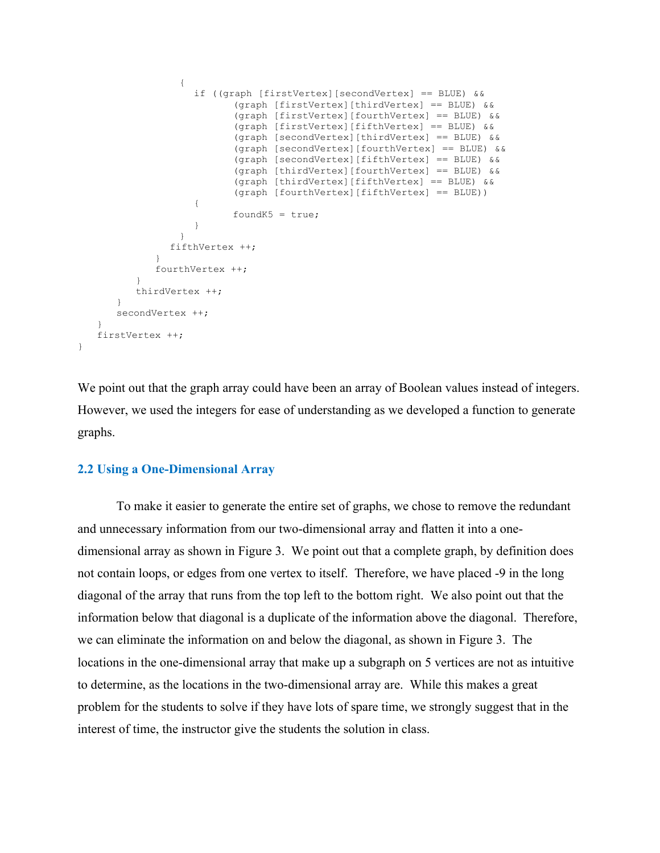```
{
                    if ((graph [firstVertex][secondVertex] == BLUE) && 
                            (graph [firstVertex][thirdVertex] == BLUE) && 
                            (graph [firstVertex][fourthVertex] == BLUE) && 
                            (graph [firstVertex][fifthVertex] == BLUE) && 
                            (graph [secondVertex][thirdVertex] == BLUE) && 
                            (graph [secondVertex][fourthVertex] == BLUE) && 
                            (graph [secondVertex][fifthVertex] == BLUE) && 
                            (graph [thirdVertex][fourthVertex] == BLUE) && 
                            (graph [thirdVertex][fifthVertex] == BLUE) && 
                            (graph [fourthVertex][fifthVertex] == BLUE)) 
                     {
                            foundK5 = true;}
                  }
                fifthVertex ++;
             }
             fourthVertex ++;
          }
          thirdVertex ++;
      }
      secondVertex ++;
   }
   firstVertex ++;
}
```
We point out that the graph array could have been an array of Boolean values instead of integers. However, we used the integers for ease of understanding as we developed a function to generate graphs.

#### **2.2 Using a One-Dimensional Array**

To make it easier to generate the entire set of graphs, we chose to remove the redundant and unnecessary information from our two-dimensional array and flatten it into a onedimensional array as shown in Figure 3. We point out that a complete graph, by definition does not contain loops, or edges from one vertex to itself. Therefore, we have placed -9 in the long diagonal of the array that runs from the top left to the bottom right. We also point out that the information below that diagonal is a duplicate of the information above the diagonal. Therefore, we can eliminate the information on and below the diagonal, as shown in Figure 3. The locations in the one-dimensional array that make up a subgraph on 5 vertices are not as intuitive to determine, as the locations in the two-dimensional array are. While this makes a great problem for the students to solve if they have lots of spare time, we strongly suggest that in the interest of time, the instructor give the students the solution in class.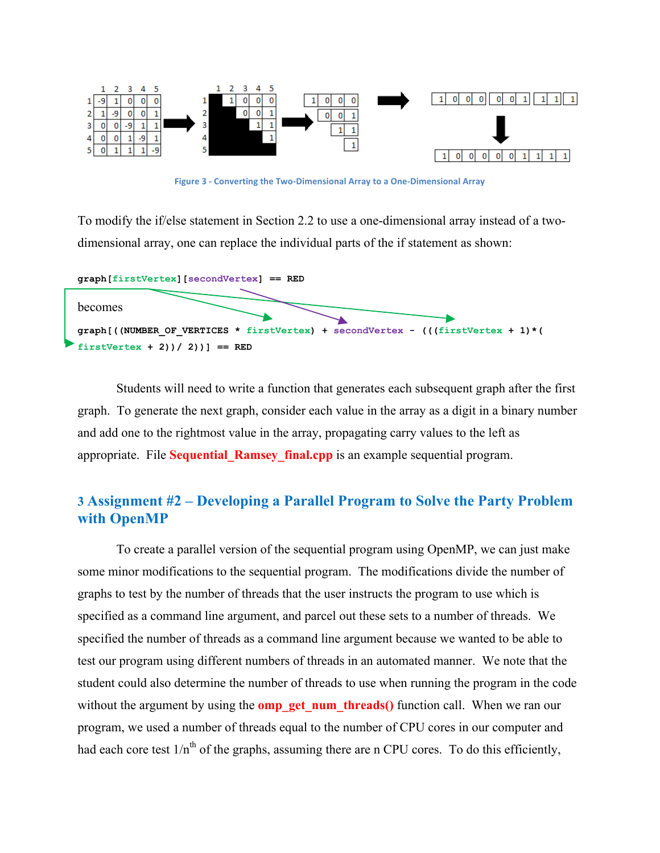

**Figure 3 - Converting the Two-Dimensional Array to a One-Dimensional Array** 

To modify the if/else statement in Section 2.2 to use a one-dimensional array instead of a twodimensional array, one can replace the individual parts of the if statement as shown:



Students will need to write a function that generates each subsequent graph after the first graph. To generate the next graph, consider each value in the array as a digit in a binary number and add one to the rightmost value in the array, propagating carry values to the left as appropriate. File **Sequential\_Ramsey\_final.cpp** is an example sequential program.

# **3 Assignment #2 – Developing a Parallel Program to Solve the Party Problem with OpenMP**

To create a parallel version of the sequential program using OpenMP, we can just make some minor modifications to the sequential program. The modifications divide the number of graphs to test by the number of threads that the user instructs the program to use which is specified as a command line argument, and parcel out these sets to a number of threads. We specified the number of threads as a command line argument because we wanted to be able to test our program using different numbers of threads in an automated manner. We note that the student could also determine the number of threads to use when running the program in the code without the argument by using the **omp\_get\_num\_threads()** function call. When we ran our program, we used a number of threads equal to the number of CPU cores in our computer and had each core test  $1/n<sup>th</sup>$  of the graphs, assuming there are n CPU cores. To do this efficiently,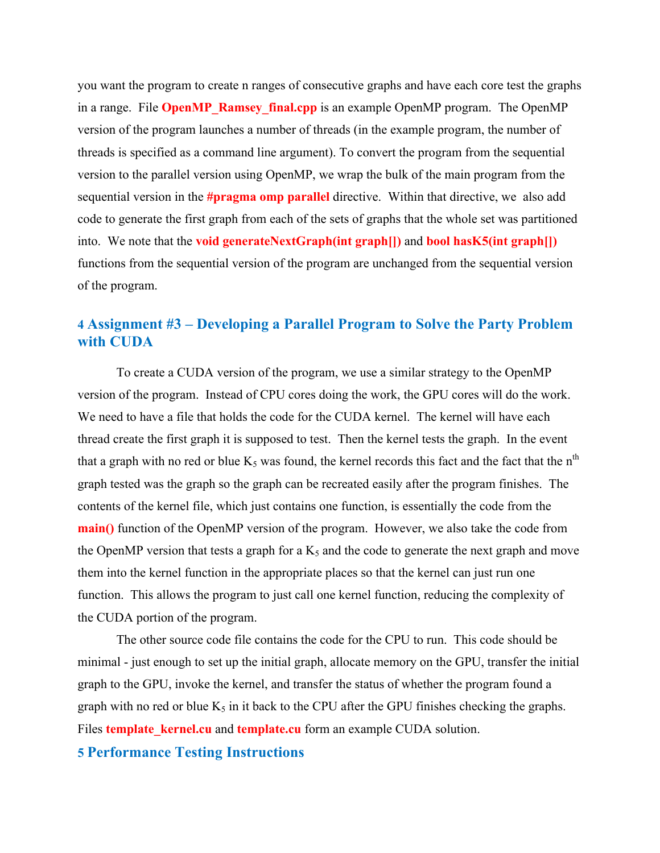you want the program to create n ranges of consecutive graphs and have each core test the graphs in a range. File **OpenMP** Ramsey final.cpp is an example OpenMP program. The OpenMP version of the program launches a number of threads (in the example program, the number of threads is specified as a command line argument). To convert the program from the sequential version to the parallel version using OpenMP, we wrap the bulk of the main program from the sequential version in the **#pragma omp parallel** directive. Within that directive, we also add code to generate the first graph from each of the sets of graphs that the whole set was partitioned into. We note that the **void generateNextGraph(int graph[])** and **bool hasK5(int graph[])**  functions from the sequential version of the program are unchanged from the sequential version of the program.

# **4 Assignment #3 – Developing a Parallel Program to Solve the Party Problem with CUDA**

To create a CUDA version of the program, we use a similar strategy to the OpenMP version of the program. Instead of CPU cores doing the work, the GPU cores will do the work. We need to have a file that holds the code for the CUDA kernel. The kernel will have each thread create the first graph it is supposed to test. Then the kernel tests the graph. In the event that a graph with no red or blue  $K_5$  was found, the kernel records this fact and the fact that the n<sup>th</sup> graph tested was the graph so the graph can be recreated easily after the program finishes. The contents of the kernel file, which just contains one function, is essentially the code from the **main()** function of the OpenMP version of the program. However, we also take the code from the OpenMP version that tests a graph for a  $K_5$  and the code to generate the next graph and move them into the kernel function in the appropriate places so that the kernel can just run one function. This allows the program to just call one kernel function, reducing the complexity of the CUDA portion of the program.

The other source code file contains the code for the CPU to run. This code should be minimal - just enough to set up the initial graph, allocate memory on the GPU, transfer the initial graph to the GPU, invoke the kernel, and transfer the status of whether the program found a graph with no red or blue  $K_5$  in it back to the CPU after the GPU finishes checking the graphs. Files **template** kernel.cu and **template.cu** form an example CUDA solution.

### **5 Performance Testing Instructions**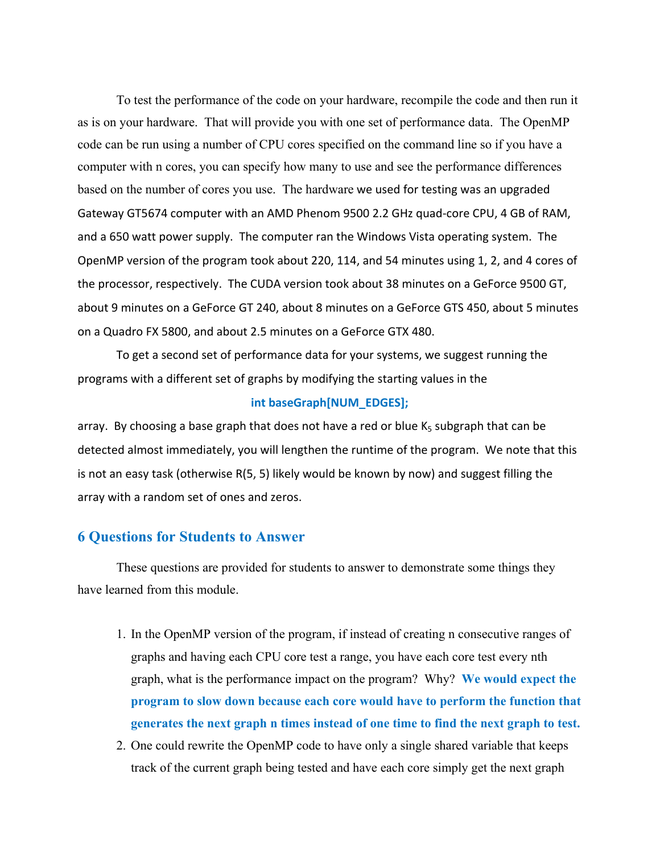To test the performance of the code on your hardware, recompile the code and then run it as is on your hardware. That will provide you with one set of performance data. The OpenMP code can be run using a number of CPU cores specified on the command line so if you have a computer with n cores, you can specify how many to use and see the performance differences based on the number of cores you use. The hardware we used for testing was an upgraded Gateway GT5674 computer with an AMD Phenom 9500 2.2 GHz quad-core CPU, 4 GB of RAM, and a 650 watt power supply. The computer ran the Windows Vista operating system. The OpenMP version of the program took about 220, 114, and 54 minutes using 1, 2, and 4 cores of the processor, respectively. The CUDA version took about 38 minutes on a GeForce 9500 GT, about 9 minutes on a GeForce GT 240, about 8 minutes on a GeForce GTS 450, about 5 minutes on a Quadro FX 5800, and about 2.5 minutes on a GeForce GTX 480.

To get a second set of performance data for your systems, we suggest running the programs with a different set of graphs by modifying the starting values in the

#### int baseGraph[NUM\_EDGES];

array. By choosing a base graph that does not have a red or blue  $K_5$  subgraph that can be detected almost immediately, you will lengthen the runtime of the program. We note that this is not an easy task (otherwise  $R(5, 5)$  likely would be known by now) and suggest filling the array with a random set of ones and zeros.

#### **6 Questions for Students to Answer**

These questions are provided for students to answer to demonstrate some things they have learned from this module.

- 1. In the OpenMP version of the program, if instead of creating n consecutive ranges of graphs and having each CPU core test a range, you have each core test every nth graph, what is the performance impact on the program? Why? **We would expect the program to slow down because each core would have to perform the function that generates the next graph n times instead of one time to find the next graph to test.**
- 2. One could rewrite the OpenMP code to have only a single shared variable that keeps track of the current graph being tested and have each core simply get the next graph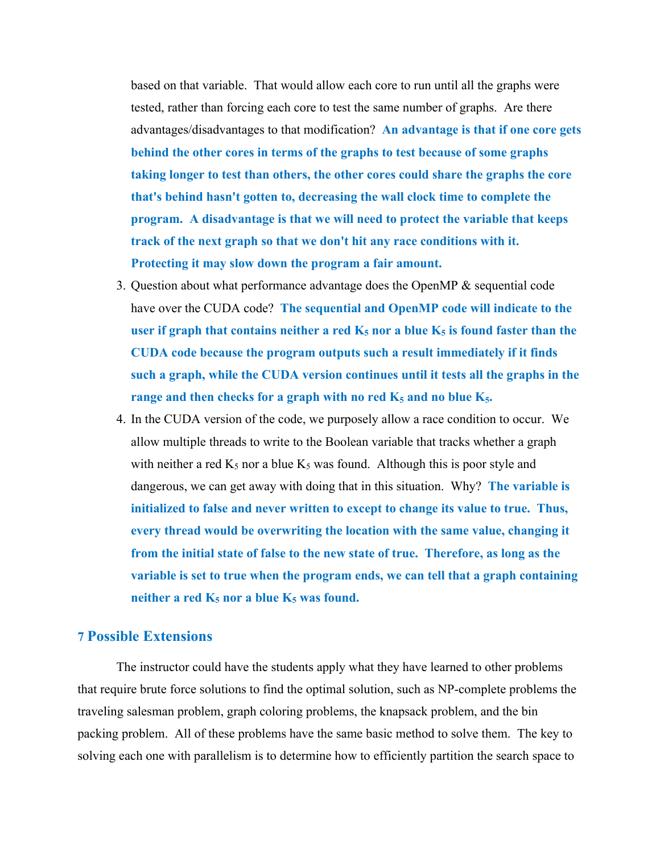based on that variable. That would allow each core to run until all the graphs were tested, rather than forcing each core to test the same number of graphs. Are there advantages/disadvantages to that modification? **An advantage is that if one core gets behind the other cores in terms of the graphs to test because of some graphs taking longer to test than others, the other cores could share the graphs the core that's behind hasn't gotten to, decreasing the wall clock time to complete the program. A disadvantage is that we will need to protect the variable that keeps track of the next graph so that we don't hit any race conditions with it. Protecting it may slow down the program a fair amount.**

- 3. Question about what performance advantage does the OpenMP & sequential code have over the CUDA code? **The sequential and OpenMP code will indicate to the**  user if graph that contains neither a red  $K_5$  nor a blue  $K_5$  is found faster than the **CUDA code because the program outputs such a result immediately if it finds such a graph, while the CUDA version continues until it tests all the graphs in the**  range and then checks for a graph with no red  $K_5$  and no blue  $K_5$ .
- 4. In the CUDA version of the code, we purposely allow a race condition to occur. We allow multiple threads to write to the Boolean variable that tracks whether a graph with neither a red  $K_5$  nor a blue  $K_5$  was found. Although this is poor style and dangerous, we can get away with doing that in this situation. Why? **The variable is initialized to false and never written to except to change its value to true. Thus, every thread would be overwriting the location with the same value, changing it from the initial state of false to the new state of true. Therefore, as long as the variable is set to true when the program ends, we can tell that a graph containing** neither a red  $K_5$  nor a blue  $K_5$  was found.

### **7 Possible Extensions**

The instructor could have the students apply what they have learned to other problems that require brute force solutions to find the optimal solution, such as NP-complete problems the traveling salesman problem, graph coloring problems, the knapsack problem, and the bin packing problem. All of these problems have the same basic method to solve them. The key to solving each one with parallelism is to determine how to efficiently partition the search space to